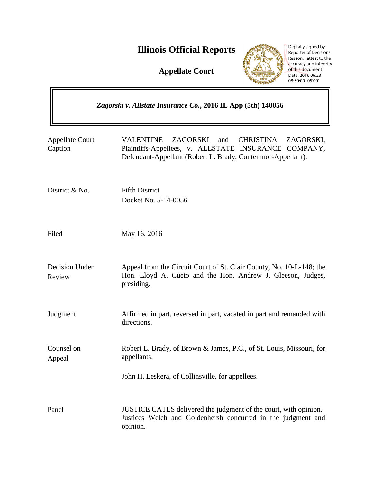# **Illinois Official Reports**

**Appellate Court**



Digitally signed by Reporter of Decisions Reason: I attest to the accuracy and integrity of this document Date: 2016.06.23 08:50:00 -05'00'

 $\overline{\mathsf{1}}$ 

| Zagorski v. Allstate Insurance Co., 2016 IL App (5th) 140056 |                                                                                                                                                                                             |
|--------------------------------------------------------------|---------------------------------------------------------------------------------------------------------------------------------------------------------------------------------------------|
| <b>Appellate Court</b><br>Caption                            | <b>VALENTINE</b><br>ZAGORSKI<br><b>CHRISTINA</b><br>and<br>ZAGORSKI,<br>Plaintiffs-Appellees, v. ALLSTATE INSURANCE COMPANY,<br>Defendant-Appellant (Robert L. Brady, Contemnor-Appellant). |
| District & No.                                               | <b>Fifth District</b><br>Docket No. 5-14-0056                                                                                                                                               |
| Filed                                                        | May 16, 2016                                                                                                                                                                                |
| Decision Under<br>Review                                     | Appeal from the Circuit Court of St. Clair County, No. 10-L-148; the<br>Hon. Lloyd A. Cueto and the Hon. Andrew J. Gleeson, Judges,<br>presiding.                                           |
| Judgment                                                     | Affirmed in part, reversed in part, vacated in part and remanded with<br>directions.                                                                                                        |
| Counsel on<br>Appeal                                         | Robert L. Brady, of Brown & James, P.C., of St. Louis, Missouri, for<br>appellants.                                                                                                         |
|                                                              | John H. Leskera, of Collinsville, for appellees.                                                                                                                                            |
| Panel                                                        | JUSTICE CATES delivered the judgment of the court, with opinion.<br>Justices Welch and Goldenhersh concurred in the judgment and<br>opinion.                                                |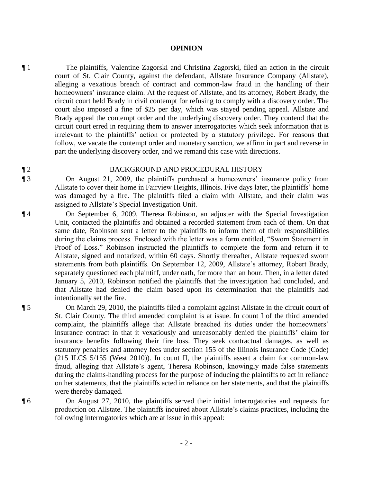#### **OPINION**

¶ 1 The plaintiffs, Valentine Zagorski and Christina Zagorski, filed an action in the circuit court of St. Clair County, against the defendant, Allstate Insurance Company (Allstate), alleging a vexatious breach of contract and common-law fraud in the handling of their homeowners' insurance claim. At the request of Allstate, and its attorney, Robert Brady, the circuit court held Brady in civil contempt for refusing to comply with a discovery order. The court also imposed a fine of \$25 per day, which was stayed pending appeal. Allstate and Brady appeal the contempt order and the underlying discovery order. They contend that the circuit court erred in requiring them to answer interrogatories which seek information that is irrelevant to the plaintiffs' action or protected by a statutory privilege. For reasons that follow, we vacate the contempt order and monetary sanction, we affirm in part and reverse in part the underlying discovery order, and we remand this case with directions.

#### ¶ 2 BACKGROUND AND PROCEDURAL HISTORY

¶ 3 On August 21, 2009, the plaintiffs purchased a homeowners' insurance policy from Allstate to cover their home in Fairview Heights, Illinois. Five days later, the plaintiffs' home was damaged by a fire. The plaintiffs filed a claim with Allstate, and their claim was assigned to Allstate's Special Investigation Unit.

¶ 4 On September 6, 2009, Theresa Robinson, an adjuster with the Special Investigation Unit, contacted the plaintiffs and obtained a recorded statement from each of them. On that same date, Robinson sent a letter to the plaintiffs to inform them of their responsibilities during the claims process. Enclosed with the letter was a form entitled, "Sworn Statement in Proof of Loss." Robinson instructed the plaintiffs to complete the form and return it to Allstate, signed and notarized, within 60 days. Shortly thereafter, Allstate requested sworn statements from both plaintiffs. On September 12, 2009, Allstate's attorney, Robert Brady, separately questioned each plaintiff, under oath, for more than an hour. Then, in a letter dated January 5, 2010, Robinson notified the plaintiffs that the investigation had concluded, and that Allstate had denied the claim based upon its determination that the plaintiffs had intentionally set the fire.

¶ 5 On March 29, 2010, the plaintiffs filed a complaint against Allstate in the circuit court of St. Clair County. The third amended complaint is at issue. In count I of the third amended complaint, the plaintiffs allege that Allstate breached its duties under the homeowners' insurance contract in that it vexatiously and unreasonably denied the plaintiffs' claim for insurance benefits following their fire loss. They seek contractual damages, as well as statutory penalties and attorney fees under section 155 of the Illinois Insurance Code (Code) (215 ILCS 5/155 (West 2010)). In count II, the plaintiffs assert a claim for common-law fraud, alleging that Allstate's agent, Theresa Robinson, knowingly made false statements during the claims-handling process for the purpose of inducing the plaintiffs to act in reliance on her statements, that the plaintiffs acted in reliance on her statements, and that the plaintiffs were thereby damaged.

¶ 6 On August 27, 2010, the plaintiffs served their initial interrogatories and requests for production on Allstate. The plaintiffs inquired about Allstate's claims practices, including the following interrogatories which are at issue in this appeal: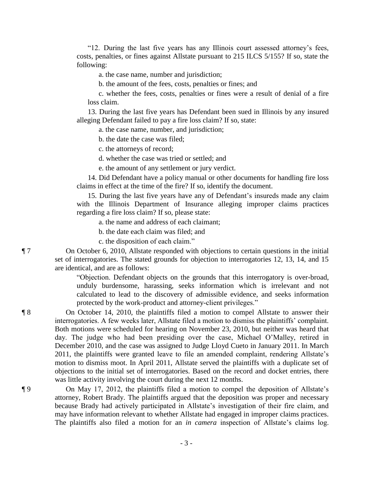"12. During the last five years has any Illinois court assessed attorney's fees, costs, penalties, or fines against Allstate pursuant to 215 ILCS 5/155? If so, state the following:

a. the case name, number and jurisdiction;

b. the amount of the fees, costs, penalties or fines; and

c. whether the fees, costs, penalties or fines were a result of denial of a fire loss claim.

 13. During the last five years has Defendant been sued in Illinois by any insured alleging Defendant failed to pay a fire loss claim? If so, state:

a. the case name, number, and jurisdiction;

b. the date the case was filed;

c. the attorneys of record;

d. whether the case was tried or settled; and

e. the amount of any settlement or jury verdict.

 14. Did Defendant have a policy manual or other documents for handling fire loss claims in effect at the time of the fire? If so, identify the document.

 15. During the last five years have any of Defendant's insureds made any claim with the Illinois Department of Insurance alleging improper claims practices regarding a fire loss claim? If so, please state:

a. the name and address of each claimant;

b. the date each claim was filed; and

c. the disposition of each claim."

¶ 7 On October 6, 2010, Allstate responded with objections to certain questions in the initial set of interrogatories. The stated grounds for objection to interrogatories 12, 13, 14, and 15 are identical, and are as follows:

> "Objection. Defendant objects on the grounds that this interrogatory is over-broad, unduly burdensome, harassing, seeks information which is irrelevant and not calculated to lead to the discovery of admissible evidence, and seeks information protected by the work-product and attorney-client privileges."

¶ 8 On October 14, 2010, the plaintiffs filed a motion to compel Allstate to answer their interrogatories. A few weeks later, Allstate filed a motion to dismiss the plaintiffs' complaint. Both motions were scheduled for hearing on November 23, 2010, but neither was heard that day. The judge who had been presiding over the case, Michael O'Malley, retired in December 2010, and the case was assigned to Judge Lloyd Cueto in January 2011. In March 2011, the plaintiffs were granted leave to file an amended complaint, rendering Allstate's motion to dismiss moot. In April 2011, Allstate served the plaintiffs with a duplicate set of objections to the initial set of interrogatories. Based on the record and docket entries, there was little activity involving the court during the next 12 months.

¶ 9 On May 17, 2012, the plaintiffs filed a motion to compel the deposition of Allstate's attorney, Robert Brady. The plaintiffs argued that the deposition was proper and necessary because Brady had actively participated in Allstate's investigation of their fire claim, and may have information relevant to whether Allstate had engaged in improper claims practices. The plaintiffs also filed a motion for an *in camera* inspection of Allstate's claims log.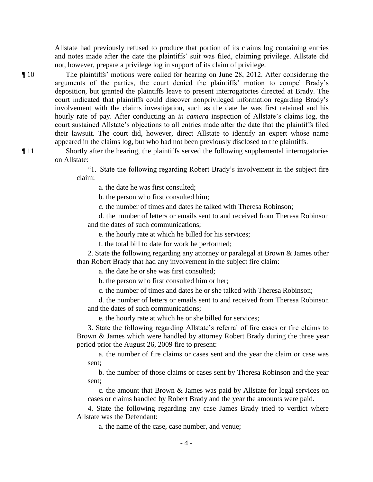Allstate had previously refused to produce that portion of its claims log containing entries and notes made after the date the plaintiffs' suit was filed, claiming privilege. Allstate did not, however, prepare a privilege log in support of its claim of privilege.

¶ 10 The plaintiffs' motions were called for hearing on June 28, 2012. After considering the arguments of the parties, the court denied the plaintiffs' motion to compel Brady's deposition, but granted the plaintiffs leave to present interrogatories directed at Brady. The court indicated that plaintiffs could discover nonprivileged information regarding Brady's involvement with the claims investigation, such as the date he was first retained and his hourly rate of pay. After conducting an *in camera* inspection of Allstate's claims log, the court sustained Allstate's objections to all entries made after the date that the plaintiffs filed their lawsuit. The court did, however, direct Allstate to identify an expert whose name appeared in the claims log, but who had not been previously disclosed to the plaintiffs.

¶ 11 Shortly after the hearing, the plaintiffs served the following supplemental interrogatories on Allstate:

> "1. State the following regarding Robert Brady's involvement in the subject fire claim:

a. the date he was first consulted;

b. the person who first consulted him;

c. the number of times and dates he talked with Theresa Robinson;

 d. the number of letters or emails sent to and received from Theresa Robinson and the dates of such communications;

e. the hourly rate at which he billed for his services;

f. the total bill to date for work he performed;

 2. State the following regarding any attorney or paralegal at Brown & James other than Robert Brady that had any involvement in the subject fire claim:

a. the date he or she was first consulted;

b. the person who first consulted him or her;

c. the number of times and dates he or she talked with Theresa Robinson;

 d. the number of letters or emails sent to and received from Theresa Robinson and the dates of such communications;

e. the hourly rate at which he or she billed for services;

 3. State the following regarding Allstate's referral of fire cases or fire claims to Brown & James which were handled by attorney Robert Brady during the three year period prior the August 26, 2009 fire to present:

 a. the number of fire claims or cases sent and the year the claim or case was sent;

 b. the number of those claims or cases sent by Theresa Robinson and the year sent;

 c. the amount that Brown & James was paid by Allstate for legal services on cases or claims handled by Robert Brady and the year the amounts were paid.

 4. State the following regarding any case James Brady tried to verdict where Allstate was the Defendant:

a. the name of the case, case number, and venue;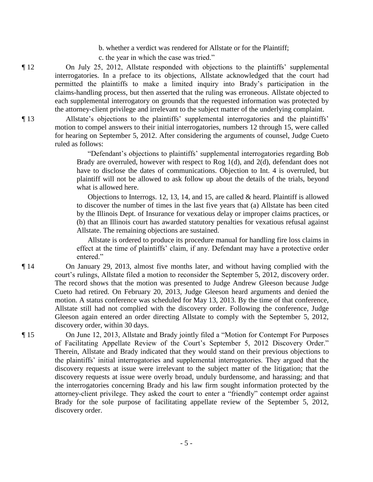- b. whether a verdict was rendered for Allstate or for the Plaintiff;
- c. the year in which the case was tried."

¶ 12 On July 25, 2012, Allstate responded with objections to the plaintiffs' supplemental interrogatories. In a preface to its objections, Allstate acknowledged that the court had permitted the plaintiffs to make a limited inquiry into Brady's participation in the claims-handling process, but then asserted that the ruling was erroneous. Allstate objected to each supplemental interrogatory on grounds that the requested information was protected by the attorney-client privilege and irrelevant to the subject matter of the underlying complaint.

¶ 13 Allstate's objections to the plaintiffs' supplemental interrogatories and the plaintiffs' motion to compel answers to their initial interrogatories, numbers 12 through 15, were called for hearing on September 5, 2012. After considering the arguments of counsel, Judge Cueto ruled as follows:

> "Defendant's objections to plaintiffs' supplemental interrogatories regarding Bob Brady are overruled, however with respect to Rog 1(d), and 2(d), defendant does not have to disclose the dates of communications. Objection to Int. 4 is overruled, but plaintiff will not be allowed to ask follow up about the details of the trials, beyond what is allowed here.

> Objections to Interrogs. 12, 13, 14, and 15, are called  $\&$  heard. Plaintiff is allowed to discover the number of times in the last five years that (a) Allstate has been cited by the Illinois Dept. of Insurance for vexatious delay or improper claims practices, or (b) that an Illinois court has awarded statutory penalties for vexatious refusal against Allstate. The remaining objections are sustained.

> Allstate is ordered to produce its procedure manual for handling fire loss claims in effect at the time of plaintiffs' claim, if any. Defendant may have a protective order entered."

¶ 14 On January 29, 2013, almost five months later, and without having complied with the court's rulings, Allstate filed a motion to reconsider the September 5, 2012, discovery order. The record shows that the motion was presented to Judge Andrew Gleeson because Judge Cueto had retired. On February 20, 2013, Judge Gleeson heard arguments and denied the motion. A status conference was scheduled for May 13, 2013. By the time of that conference, Allstate still had not complied with the discovery order. Following the conference, Judge Gleeson again entered an order directing Allstate to comply with the September 5, 2012, discovery order, within 30 days.

¶ 15 On June 12, 2013, Allstate and Brady jointly filed a "Motion for Contempt For Purposes of Facilitating Appellate Review of the Court's September 5, 2012 Discovery Order." Therein, Allstate and Brady indicated that they would stand on their previous objections to the plaintiffs' initial interrogatories and supplemental interrogatories. They argued that the discovery requests at issue were irrelevant to the subject matter of the litigation; that the discovery requests at issue were overly broad, unduly burdensome, and harassing; and that the interrogatories concerning Brady and his law firm sought information protected by the attorney-client privilege. They asked the court to enter a "friendly" contempt order against Brady for the sole purpose of facilitating appellate review of the September 5, 2012, discovery order.

- 5 -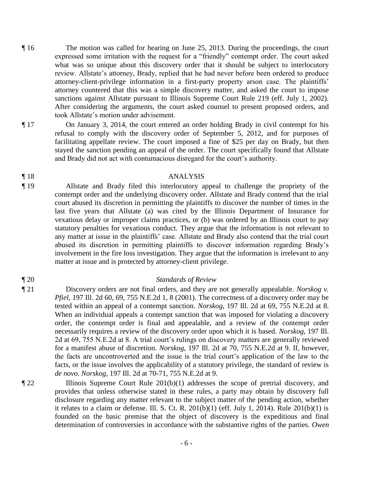- ¶ 16 The motion was called for hearing on June 25, 2013. During the proceedings, the court expressed some irritation with the request for a "friendly" contempt order. The court asked what was so unique about this discovery order that it should be subject to interlocutory review. Allstate's attorney, Brady, replied that he had never before been ordered to produce attorney-client-privilege information in a first-party property arson case. The plaintiffs' attorney countered that this was a simple discovery matter, and asked the court to impose sanctions against Allstate pursuant to Illinois Supreme Court Rule 219 (eff. July 1, 2002). After considering the arguments, the court asked counsel to present proposed orders, and took Allstate's motion under advisement.
- ¶ 17 On January 3, 2014, the court entered an order holding Brady in civil contempt for his
	- refusal to comply with the discovery order of September 5, 2012, and for purposes of facilitating appellate review. The court imposed a fine of \$25 per day on Brady, but then stayed the sanction pending an appeal of the order. The court specifically found that Allstate and Brady did not act with contumacious disregard for the court's authority.

## ¶ 18 ANALYSIS

¶ 19 Allstate and Brady filed this interlocutory appeal to challenge the propriety of the contempt order and the underlying discovery order. Allstate and Brady contend that the trial court abused its discretion in permitting the plaintiffs to discover the number of times in the last five years that Allstate (a) was cited by the Illinois Department of Insurance for vexatious delay or improper claims practices, or (b) was ordered by an Illinois court to pay statutory penalties for vexatious conduct. They argue that the information is not relevant to any matter at issue in the plaintiffs' case. Allstate and Brady also contend that the trial court abused its discretion in permitting plaintiffs to discover information regarding Brady's involvement in the fire loss investigation. They argue that the information is irrelevant to any matter at issue and is protected by attorney-client privilege.

#### ¶ 20 *Standards of Review*

¶ 21 Discovery orders are not final orders, and they are not generally appealable. *Norskog v. Pfiel*, 197 Ill. 2d 60, 69, 755 N.E.2d 1, 8 (2001). The correctness of a discovery order may be tested within an appeal of a contempt sanction. *Norskog*, 197 Ill. 2d at 69, 755 N.E.2d at 8. When an individual appeals a contempt sanction that was imposed for violating a discovery order, the contempt order is final and appealable, and a review of the contempt order necessarily requires a review of the discovery order upon which it is based. *Norskog*, 197 Ill. 2d at 69, 755 N.E.2d at 8. A trial court's rulings on discovery matters are generally reviewed for a manifest abuse of discretion. *Norskog*, 197 Ill. 2d at 70, 755 N.E.2d at 9. If, however, the facts are uncontroverted and the issue is the trial court's application of the law to the facts, or the issue involves the applicability of a statutory privilege, the standard of review is *de novo*. *Norskog*, 197 Ill. 2d at 70-71, 755 N.E.2d at 9.

¶ 22 Illinois Supreme Court Rule 201(b)(1) addresses the scope of pretrial discovery, and provides that unless otherwise stated in these rules, a party may obtain by discovery full disclosure regarding any matter relevant to the subject matter of the pending action, whether it relates to a claim or defense. Ill. S. Ct. R.  $201(b)(1)$  (eff. July 1, 2014). Rule  $201(b)(1)$  is founded on the basic premise that the object of discovery is the expeditious and final determination of controversies in accordance with the substantive rights of the parties. *Owen*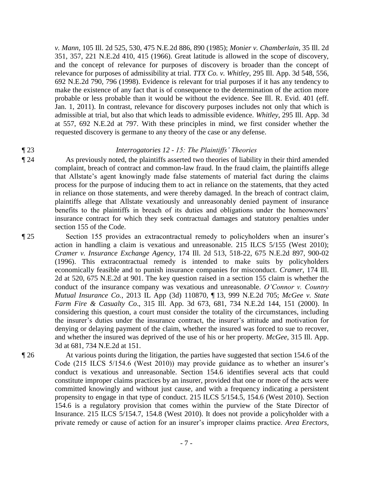*v. Mann*, 105 Ill. 2d 525, 530, 475 N.E.2d 886, 890 (1985); *Monier v. Chamberlain*, 35 Ill. 2d 351, 357, 221 N.E.2d 410, 415 (1966). Great latitude is allowed in the scope of discovery, and the concept of relevance for purposes of discovery is broader than the concept of relevance for purposes of admissibility at trial. *TTX Co. v. Whitley*, 295 Ill. App. 3d 548, 556, 692 N.E.2d 790, 796 (1998). Evidence is relevant for trial purposes if it has any tendency to make the existence of any fact that is of consequence to the determination of the action more probable or less probable than it would be without the evidence. See Ill. R. Evid. 401 (eff. Jan. 1, 2011). In contrast, relevance for discovery purposes includes not only that which is admissible at trial, but also that which leads to admissible evidence. *Whitley*, 295 Ill. App. 3d at 557, 692 N.E.2d at 797. With these principles in mind, we first consider whether the requested discovery is germane to any theory of the case or any defense.

### ¶ 23 *Interrogatories 12 - 15: The Plaintiffs' Theories*

¶ 24 As previously noted, the plaintiffs asserted two theories of liability in their third amended complaint, breach of contract and common-law fraud. In the fraud claim, the plaintiffs allege that Allstate's agent knowingly made false statements of material fact during the claims process for the purpose of inducing them to act in reliance on the statements, that they acted in reliance on those statements, and were thereby damaged. In the breach of contract claim, plaintiffs allege that Allstate vexatiously and unreasonably denied payment of insurance benefits to the plaintiffs in breach of its duties and obligations under the homeowners' insurance contract for which they seek contractual damages and statutory penalties under section 155 of the Code.

¶ 25 Section 155 provides an extracontractual remedy to policyholders when an insurer's action in handling a claim is vexatious and unreasonable. 215 ILCS 5/155 (West 2010); *Cramer v. Insurance Exchange Agency*, 174 Ill. 2d 513, 518-22, 675 N.E.2d 897, 900-02 (1996). This extracontractual remedy is intended to make suits by policyholders economically feasible and to punish insurance companies for misconduct. *Cramer*, 174 Ill. 2d at 520, 675 N.E.2d at 901. The key question raised in a section 155 claim is whether the conduct of the insurance company was vexatious and unreasonable. *O'Connor v. Country Mutual Insurance Co.*, 2013 IL App (3d) 110870, ¶ 13, 999 N.E.2d 705; *McGee v. State Farm Fire & Casualty Co*., 315 Ill. App. 3d 673, 681, 734 N.E.2d 144, 151 (2000). In considering this question, a court must consider the totality of the circumstances, including the insurer's duties under the insurance contract, the insurer's attitude and motivation for denying or delaying payment of the claim, whether the insured was forced to sue to recover, and whether the insured was deprived of the use of his or her property. *McGee*, 315 Ill. App. 3d at 681, 734 N.E.2d at 151.

¶ 26 At various points during the litigation, the parties have suggested that section 154.6 of the Code (215 ILCS 5/154.6 (West 2010)) may provide guidance as to whether an insurer's conduct is vexatious and unreasonable. Section 154.6 identifies several acts that could constitute improper claims practices by an insurer, provided that one or more of the acts were committed knowingly and without just cause, and with a frequency indicating a persistent propensity to engage in that type of conduct. 215 ILCS 5/154.5, 154.6 (West 2010). Section 154.6 is a regulatory provision that comes within the purview of the State Director of Insurance. 215 ILCS 5/154.7, 154.8 (West 2010). It does not provide a policyholder with a private remedy or cause of action for an insurer's improper claims practice. *Area Erectors,*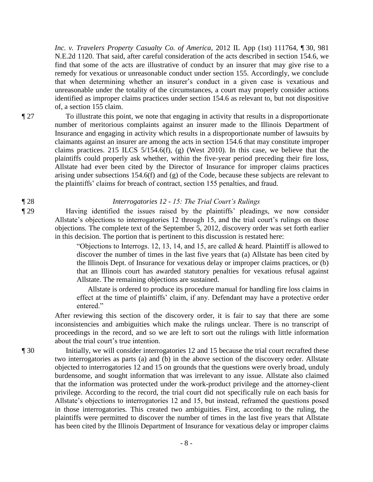*Inc. v. Travelers Property Casualty Co. of America*, 2012 IL App (1st) 111764, ¶ 30, 981 N.E.2d 1120. That said, after careful consideration of the acts described in section 154.6, we find that some of the acts are illustrative of conduct by an insurer that may give rise to a remedy for vexatious or unreasonable conduct under section 155. Accordingly, we conclude that when determining whether an insurer's conduct in a given case is vexatious and unreasonable under the totality of the circumstances, a court may properly consider actions identified as improper claims practices under section 154.6 as relevant to, but not dispositive of, a section 155 claim.

¶ 27 To illustrate this point, we note that engaging in activity that results in a disproportionate number of meritorious complaints against an insurer made to the Illinois Department of Insurance and engaging in activity which results in a disproportionate number of lawsuits by claimants against an insurer are among the acts in section 154.6 that may constitute improper claims practices. 215 ILCS 5/154.6(f), (g) (West 2010). In this case, we believe that the plaintiffs could properly ask whether, within the five-year period preceding their fire loss, Allstate had ever been cited by the Director of Insurance for improper claims practices arising under subsections 154.6(f) and (g) of the Code, because these subjects are relevant to the plaintiffs' claims for breach of contract, section 155 penalties, and fraud.

#### ¶ 28 *Interrogatories 12 - 15: The Trial Court's Rulings*

¶ 29 Having identified the issues raised by the plaintiffs' pleadings, we now consider Allstate's objections to interrogatories 12 through 15, and the trial court's rulings on those objections. The complete text of the September 5, 2012, discovery order was set forth earlier in this decision. The portion that is pertinent to this discussion is restated here:

> "Objections to Interrogs. 12, 13, 14, and 15, are called  $\&$  heard. Plaintiff is allowed to discover the number of times in the last five years that (a) Allstate has been cited by the Illinois Dept. of Insurance for vexatious delay or improper claims practices, or (b) that an Illinois court has awarded statutory penalties for vexatious refusal against Allstate. The remaining objections are sustained.

> Allstate is ordered to produce its procedure manual for handling fire loss claims in effect at the time of plaintiffs' claim, if any. Defendant may have a protective order entered<sup>"</sup>

After reviewing this section of the discovery order, it is fair to say that there are some inconsistencies and ambiguities which make the rulings unclear. There is no transcript of proceedings in the record, and so we are left to sort out the rulings with little information about the trial court's true intention.

¶ 30 Initially, we will consider interrogatories 12 and 15 because the trial court recrafted these two interrogatories as parts (a) and (b) in the above section of the discovery order. Allstate objected to interrogatories 12 and 15 on grounds that the questions were overly broad, unduly burdensome, and sought information that was irrelevant to any issue. Allstate also claimed that the information was protected under the work-product privilege and the attorney-client privilege. According to the record, the trial court did not specifically rule on each basis for Allstate's objections to interrogatories 12 and 15, but instead, reframed the questions posed in those interrogatories. This created two ambiguities. First, according to the ruling, the plaintiffs were permitted to discover the number of times in the last five years that Allstate has been cited by the Illinois Department of Insurance for vexatious delay or improper claims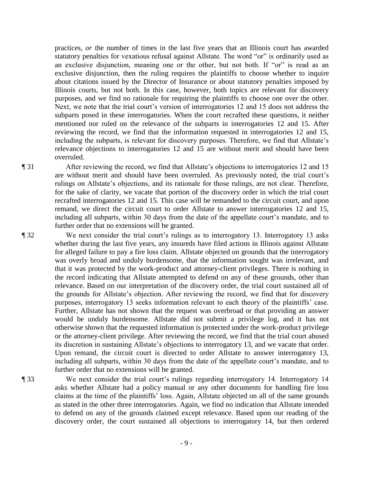practices, *or* the number of times in the last five years that an Illinois court has awarded statutory penalties for vexatious refusal against Allstate. The word "or" is ordinarily used as an exclusive disjunction, meaning one or the other, but not both. If "or" is read as an exclusive disjunction, then the ruling requires the plaintiffs to choose whether to inquire about citations issued by the Director of Insurance or about statutory penalties imposed by Illinois courts, but not both. In this case, however, both topics are relevant for discovery purposes, and we find no rationale for requiring the plaintiffs to choose one over the other. Next, we note that the trial court's version of interrogatories 12 and 15 does not address the subparts posed in these interrogatories. When the court recrafted these questions, it neither mentioned nor ruled on the relevance of the subparts in interrogatories 12 and 15. After reviewing the record, we find that the information requested in interrogatories 12 and 15, including the subparts, is relevant for discovery purposes. Therefore, we find that Allstate's relevance objections to interrogatories 12 and 15 are without merit and should have been overruled.

¶ 31 After reviewing the record, we find that Allstate's objections to interrogatories 12 and 15 are without merit and should have been overruled. As previously noted, the trial court's rulings on Allstate's objections, and its rationale for those rulings, are not clear. Therefore, for the sake of clarity, we vacate that portion of the discovery order in which the trial court recrafted interrogatories 12 and 15. This case will be remanded to the circuit court, and upon remand, we direct the circuit court to order Allstate to answer interrogatories 12 and 15, including all subparts, within 30 days from the date of the appellate court's mandate, and to further order that no extensions will be granted.

¶ 32 We next consider the trial court's rulings as to interrogatory 13. Interrogatory 13 asks whether during the last five years, any insureds have filed actions in Illinois against Allstate for alleged failure to pay a fire loss claim. Allstate objected on grounds that the interrogatory was overly broad and unduly burdensome, that the information sought was irrelevant, and that it was protected by the work-product and attorney-client privileges. There is nothing in the record indicating that Allstate attempted to defend on any of these grounds, other than relevance. Based on our interpretation of the discovery order, the trial court sustained all of the grounds for Allstate's objection. After reviewing the record, we find that for discovery purposes, interrogatory 13 seeks information relevant to each theory of the plaintiffs' case. Further, Allstate has not shown that the request was overbroad or that providing an answer would be unduly burdensome. Allstate did not submit a privilege log, and it has not otherwise shown that the requested information is protected under the work-product privilege or the attorney-client privilege. After reviewing the record, we find that the trial court abused its discretion in sustaining Allstate's objections to interrogatory 13, and we vacate that order. Upon remand, the circuit court is directed to order Allstate to answer interrogatory 13, including all subparts, within 30 days from the date of the appellate court's mandate, and to further order that no extensions will be granted.

¶ 33 We next consider the trial court's rulings regarding interrogatory 14. Interrogatory 14 asks whether Allstate had a policy manual or any other documents for handling fire loss claims at the time of the plaintiffs' loss. Again, Allstate objected on all of the same grounds as stated in the other three interrogatories. Again, we find no indication that Allstate intended to defend on any of the grounds claimed except relevance. Based upon our reading of the discovery order, the court sustained all objections to interrogatory 14, but then ordered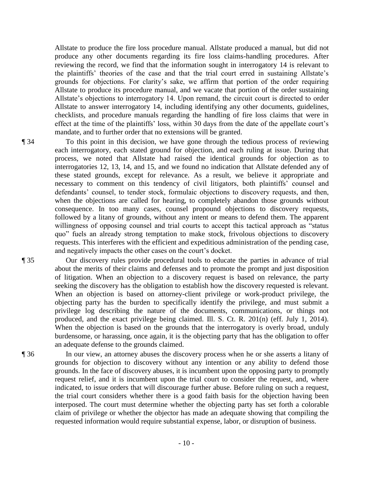Allstate to produce the fire loss procedure manual. Allstate produced a manual, but did not produce any other documents regarding its fire loss claims-handling procedures. After reviewing the record, we find that the information sought in interrogatory 14 is relevant to the plaintiffs' theories of the case and that the trial court erred in sustaining Allstate's grounds for objections. For clarity's sake, we affirm that portion of the order requiring Allstate to produce its procedure manual, and we vacate that portion of the order sustaining Allstate's objections to interrogatory 14. Upon remand, the circuit court is directed to order Allstate to answer interrogatory 14, including identifying any other documents, guidelines, checklists, and procedure manuals regarding the handling of fire loss claims that were in effect at the time of the plaintiffs' loss, within 30 days from the date of the appellate court's mandate, and to further order that no extensions will be granted.

¶ 34 To this point in this decision, we have gone through the tedious process of reviewing each interrogatory, each stated ground for objection, and each ruling at issue. During that process, we noted that Allstate had raised the identical grounds for objection as to interrogatories 12, 13, 14, and 15, and we found no indication that Allstate defended any of these stated grounds, except for relevance. As a result, we believe it appropriate and necessary to comment on this tendency of civil litigators, both plaintiffs' counsel and defendants' counsel, to tender stock, formulaic objections to discovery requests, and then, when the objections are called for hearing, to completely abandon those grounds without consequence. In too many cases, counsel propound objections to discovery requests, followed by a litany of grounds, without any intent or means to defend them. The apparent willingness of opposing counsel and trial courts to accept this tactical approach as "status quo" fuels an already strong temptation to make stock, frivolous objections to discovery requests. This interferes with the efficient and expeditious administration of the pending case, and negatively impacts the other cases on the court's docket.

¶ 35 Our discovery rules provide procedural tools to educate the parties in advance of trial about the merits of their claims and defenses and to promote the prompt and just disposition of litigation. When an objection to a discovery request is based on relevance, the party seeking the discovery has the obligation to establish how the discovery requested is relevant. When an objection is based on attorney-client privilege or work-product privilege, the objecting party has the burden to specifically identify the privilege, and must submit a privilege log describing the nature of the documents, communications, or things not produced, and the exact privilege being claimed. Ill. S. Ct. R. 201(n) (eff. July 1, 2014). When the objection is based on the grounds that the interrogatory is overly broad, unduly burdensome, or harassing, once again, it is the objecting party that has the obligation to offer an adequate defense to the grounds claimed.

¶ 36 In our view, an attorney abuses the discovery process when he or she asserts a litany of grounds for objection to discovery without any intention or any ability to defend those grounds. In the face of discovery abuses, it is incumbent upon the opposing party to promptly request relief, and it is incumbent upon the trial court to consider the request, and, where indicated, to issue orders that will discourage further abuse. Before ruling on such a request, the trial court considers whether there is a good faith basis for the objection having been interposed. The court must determine whether the objecting party has set forth a colorable claim of privilege or whether the objector has made an adequate showing that compiling the requested information would require substantial expense, labor, or disruption of business.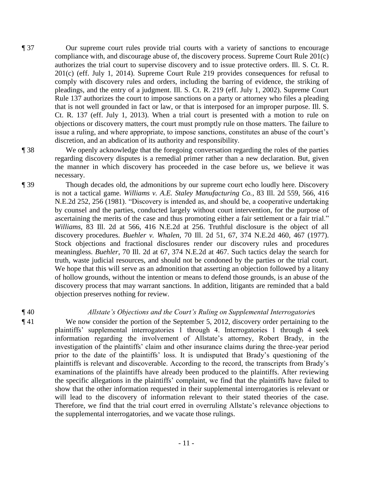¶ 37 Our supreme court rules provide trial courts with a variety of sanctions to encourage compliance with, and discourage abuse of, the discovery process. Supreme Court Rule 201(c) authorizes the trial court to supervise discovery and to issue protective orders. Ill. S. Ct. R. 201(c) (eff. July 1, 2014). Supreme Court Rule 219 provides consequences for refusal to comply with discovery rules and orders, including the barring of evidence, the striking of pleadings, and the entry of a judgment. Ill. S. Ct. R. 219 (eff. July 1, 2002). Supreme Court Rule 137 authorizes the court to impose sanctions on a party or attorney who files a pleading that is not well grounded in fact or law, or that is interposed for an improper purpose. Ill. S. Ct. R. 137 (eff. July 1, 2013). When a trial court is presented with a motion to rule on objections or discovery matters, the court must promptly rule on those matters. The failure to issue a ruling, and where appropriate, to impose sanctions, constitutes an abuse of the court's discretion, and an abdication of its authority and responsibility.

¶ 38 We openly acknowledge that the foregoing conversation regarding the roles of the parties regarding discovery disputes is a remedial primer rather than a new declaration. But, given the manner in which discovery has proceeded in the case before us, we believe it was necessary.

¶ 39 Though decades old, the admonitions by our supreme court echo loudly here. Discovery is not a tactical game. *Williams v. A.E. Staley Manufacturing Co.*, 83 Ill. 2d 559, 566, 416 N.E.2d 252, 256 (1981). "Discovery is intended as, and should be, a cooperative undertaking by counsel and the parties, conducted largely without court intervention, for the purpose of ascertaining the merits of the case and thus promoting either a fair settlement or a fair trial." *Williams*, 83 Ill. 2d at 566, 416 N.E.2d at 256. Truthful disclosure is the object of all discovery procedures. *Buehler v. Whalen*, 70 Ill. 2d 51, 67, 374 N.E.2d 460, 467 (1977). Stock objections and fractional disclosures render our discovery rules and procedures meaningless. *Buehler*, 70 Ill. 2d at 67, 374 N.E.2d at 467. Such tactics delay the search for truth, waste judicial resources, and should not be condoned by the parties or the trial court. We hope that this will serve as an admonition that asserting an objection followed by a litany of hollow grounds, without the intention or means to defend those grounds, is an abuse of the discovery process that may warrant sanctions. In addition, litigants are reminded that a bald objection preserves nothing for review.

# ¶ 40 *Allstate's Objections and the Court's Ruling on Supplemental Interrogatorie*s

¶ 41 We now consider the portion of the September 5, 2012, discovery order pertaining to the plaintiffs' supplemental interrogatories 1 through 4. Interrogatories 1 through 4 seek information regarding the involvement of Allstate's attorney, Robert Brady, in the investigation of the plaintiffs' claim and other insurance claims during the three-year period prior to the date of the plaintiffs' loss. It is undisputed that Brady's questioning of the plaintiffs is relevant and discoverable. According to the record, the transcripts from Brady's examinations of the plaintiffs have already been produced to the plaintiffs. After reviewing the specific allegations in the plaintiffs' complaint, we find that the plaintiffs have failed to show that the other information requested in their supplemental interrogatories is relevant or will lead to the discovery of information relevant to their stated theories of the case. Therefore, we find that the trial court erred in overruling Allstate's relevance objections to the supplemental interrogatories, and we vacate those rulings.